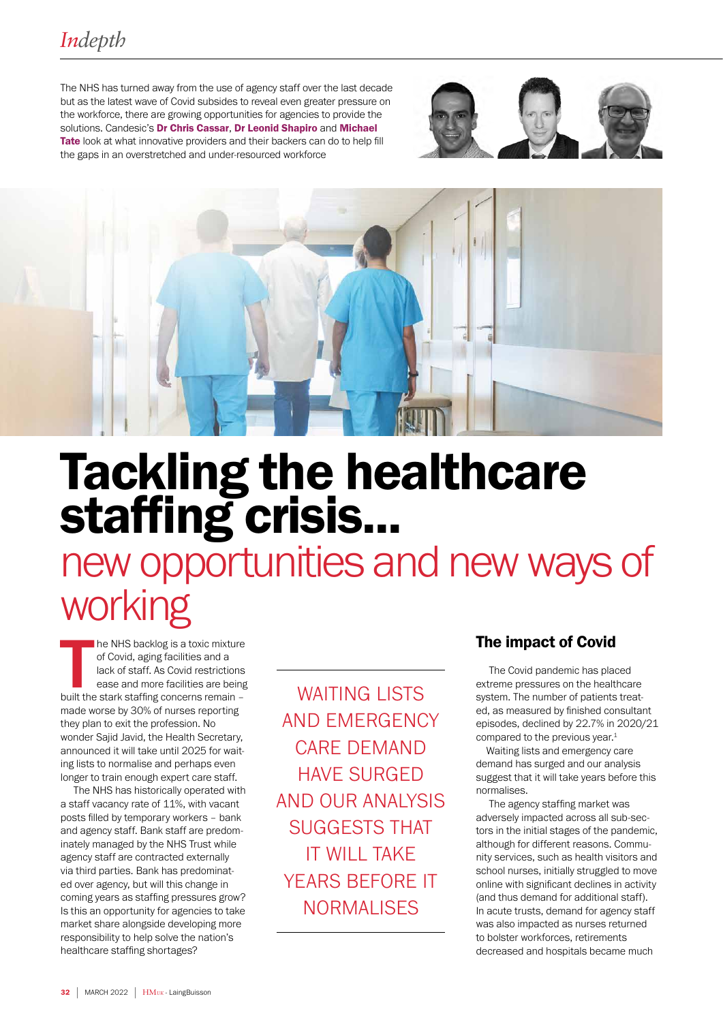The NHS has turned away from the use of agency staff over the last decade but as the latest wave of Covid subsides to reveal even greater pressure on the workforce, there are growing opportunities for agencies to provide the solutions. Candesic's Dr Chris Cassar, Dr Leonid Shapiro and Michael Tate look at what innovative providers and their backers can do to help fill the gaps in an overstretched and under-resourced workforce





# Tackling the healthcare staffing crisis...

new opportunities and new ways of working

The NHS backlog is a toxic mixture<br>of Covid, aging facilities and a<br>lack of staff. As Covid restrictions<br>ease and more facilities are being<br>built the stark staffing concerns remain he NHS backlog is a toxic mixture of Covid, aging facilities and a lack of staff. As Covid restrictions ease and more facilities are being made worse by 30% of nurses reporting they plan to exit the profession. No wonder Sajid Javid, the Health Secretary, announced it will take until 2025 for waiting lists to normalise and perhaps even longer to train enough expert care staff.

 The NHS has historically operated with a staff vacancy rate of 11%, with vacant posts filled by temporary workers - bank and agency staff. Bank staff are predominately managed by the NHS Trust while agency staff are contracted externally via third parties. Bank has predominated over agency, but will this change in coming years as staffing pressures grow? Is this an opportunity for agencies to take market share alongside developing more responsibility to help solve the nation's healthcare staffing shortages?

WAITING LISTS AND EMERGENCY CARE DEMAND HAVE SURGED AND OUR ANALYSIS SUGGESTS THAT IT WILL TAKE YEARS BEFORE IT **NORMALISES** 

# The impact of Covid

 The Covid pandemic has placed extreme pressures on the healthcare system. The number of patients treated, as measured by finished consultant episodes, declined by 22.7% in 2020/21 compared to the previous year.<sup>1</sup>

Waiting lists and emergency care demand has surged and our analysis suggest that it will take years before this normalises.

 The agency staffing market was adversely impacted across all sub-sectors in the initial stages of the pandemic, although for different reasons. Community services, such as health visitors and school nurses, initially struggled to move online with significant declines in activity (and thus demand for additional staff). In acute trusts, demand for agency staff was also impacted as nurses returned to bolster workforces, retirements decreased and hospitals became much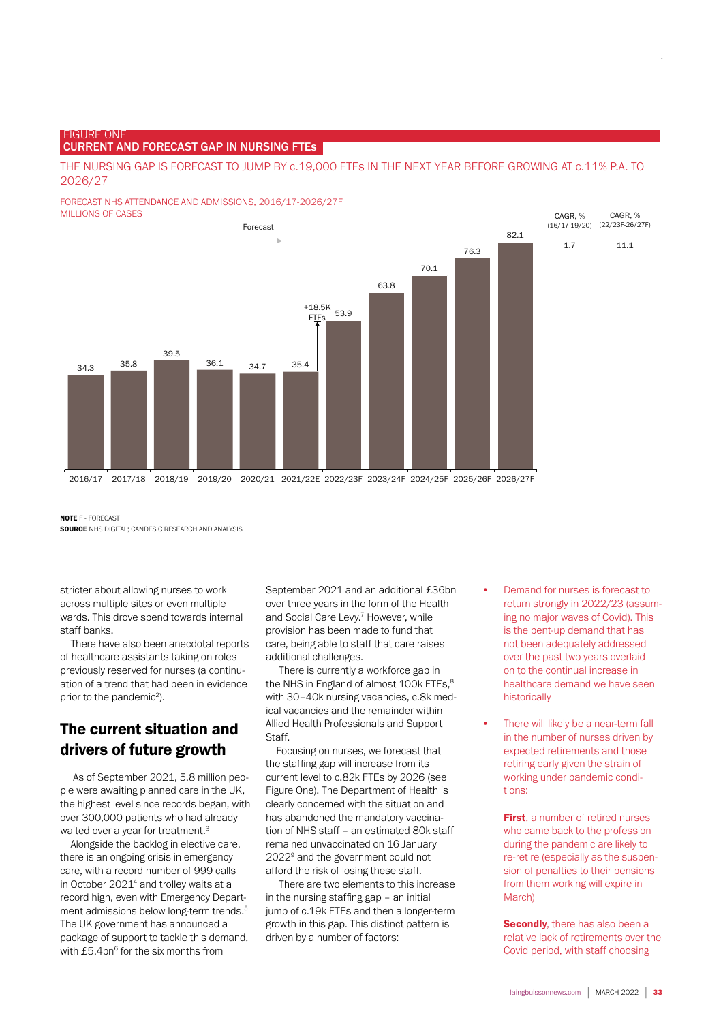#### FIGURE ONE CURRENT AND FORECAST GAP IN NURSING FTEs

THE NURSING GAP IS FORECAST TO JUMP BY c.19,000 FTEs IN THE NEXT YEAR BEFORE GROWING AT c.11% P.A. TO 2026/27

#### FORECAST NHS ATTENDANCE AND ADMISSIONS, 2016/17-2026/27F MILLIONS OF CASES



NOTE F - FORECAST

**SOURCE** NHS DIGITAL; CANDESIC RESEARCH AND ANALYSIS

stricter about allowing nurses to work across multiple sites or even multiple wards. This drove spend towards internal staff banks.

There have also been anecdotal reports of healthcare assistants taking on roles previously reserved for nurses (a continuation of a trend that had been in evidence prior to the pandemic<sup>2</sup>).

# The current situation and drivers of future growth

 As of September 2021, 5.8 million people were awaiting planned care in the UK, the highest level since records began, with over 300,000 patients who had already waited over a year for treatment.<sup>3</sup>

Alongside the backlog in elective care, there is an ongoing crisis in emergency care, with a record number of 999 calls in October 2021<sup>4</sup> and trolley waits at a record high, even with Emergency Department admissions below long-term trends.5 The UK government has announced a package of support to tackle this demand, with  $£5.4$ bn $<sup>6</sup>$  for the six months from</sup>

September 2021 and an additional £36bn over three years in the form of the Health and Social Care Levy.<sup>7</sup> However, while provision has been made to fund that care, being able to staff that care raises additional challenges.

 There is currently a workforce gap in the NHS in England of almost 100k FTEs,<sup>8</sup> with 30-40k nursing vacancies, c.8k medical vacancies and the remainder within Allied Health Professionals and Support Staff.

Focusing on nurses, we forecast that the staffing gap will increase from its current level to c.82k FTEs by 2026 (see Figure One). The Department of Health is clearly concerned with the situation and has abandoned the mandatory vaccination of NHS staff – an estimated 80k staff remained unvaccinated on 16 January 20229 and the government could not afford the risk of losing these staff.

 There are two elements to this increase in the nursing staffing gap – an initial jump of c.19k FTEs and then a longer-term growth in this gap. This distinct pattern is driven by a number of factors:

- Demand for nurses is forecast to return strongly in 2022/23 (assuming no major waves of Covid). This is the pent-up demand that has not been adequately addressed over the past two years overlaid on to the continual increase in healthcare demand we have seen historically
- There will likely be a near-term fall in the number of nurses driven by expected retirements and those retiring early given the strain of working under pandemic conditions:

**First**, a number of retired nurses who came back to the profession during the pandemic are likely to re-retire (especially as the suspension of penalties to their pensions from them working will expire in March)

**Secondly**, there has also been a relative lack of retirements over the Covid period, with staff choosing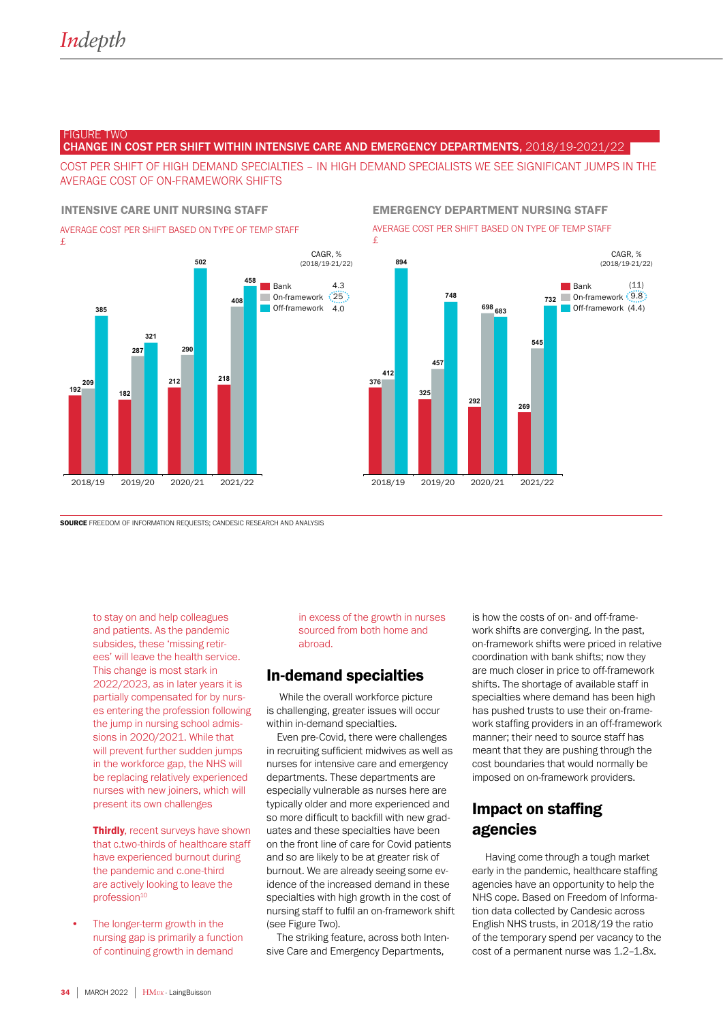#### FIGURE TWO

CHANGE IN COST PER SHIFT WITHIN INTENSIVE CARE AND EMERGENCY DEPARTMENTS, 2018/19-2021/22

COST PER SHIFT OF HIGH DEMAND SPECIALTIES - IN HIGH DEMAND SPECIALISTS WE SEE SIGNIFICANT JUMPS IN THE AVERAGE COST OF ON-FRAMEWORK SHIFTS

AVERAGE COST PER SHIFT BASED ON TYPE OF TEMP STAFF £



#### INTENSIVE CARE UNIT NURSING STAFF EMERGENCY DEPARTMENT NURSING STAFF

AVERAGE COST PER SHIFT BASED ON TYPE OF TEMP STAFF



SOURCE FREEDOM OF INFORMATION REQUESTS; CANDESIC RESEARCH AND ANALYSIS

to stay on and help colleagues and patients. As the pandemic subsides, these 'missing retirees' will leave the health service. This change is most stark in 2022/2023, as in later years it is partially compensated for by nurses entering the profession following the jump in nursing school admissions in 2020/2021. While that will prevent further sudden jumps in the workforce gap, the NHS will be replacing relatively experienced nurses with new joiners, which will present its own challenges

**Thirdly**, recent surveys have shown that c.two-thirds of healthcare staff have experienced burnout during the pandemic and c.one-third are actively looking to leave the profession<sup>10</sup>

The longer-term growth in the nursing gap is primarily a function of continuing growth in demand

in excess of the growth in nurses sourced from both home and abroad.

# In-demand specialties

 While the overall workforce picture is challenging, greater issues will occur within in-demand specialties.

Even pre-Covid, there were challenges in recruiting sufficient midwives as well as nurses for intensive care and emergency departments. These departments are especially vulnerable as nurses here are typically older and more experienced and so more difficult to backfill with new graduates and these specialties have been on the front line of care for Covid patients and so are likely to be at greater risk of burnout. We are already seeing some evidence of the increased demand in these specialties with high growth in the cost of nursing staff to fulfil an on-framework shift (see Figure Two).

The striking feature, across both Intensive Care and Emergency Departments,

is how the costs of on- and off-framework shifts are converging. In the past, on-framework shifts were priced in relative coordination with bank shifts; now they are much closer in price to off-framework shifts. The shortage of available staff in specialties where demand has been high has pushed trusts to use their on-framework staffing providers in an off-framework manner; their need to source staff has meant that they are pushing through the cost boundaries that would normally be imposed on on-framework providers.

# Impact on staffing agencies

 Having come through a tough market early in the pandemic, healthcare staffing agencies have an opportunity to help the NHS cope. Based on Freedom of Information data collected by Candesic across English NHS trusts, in 2018/19 the ratio of the temporary spend per vacancy to the cost of a permanent nurse was 1.2-1.8x.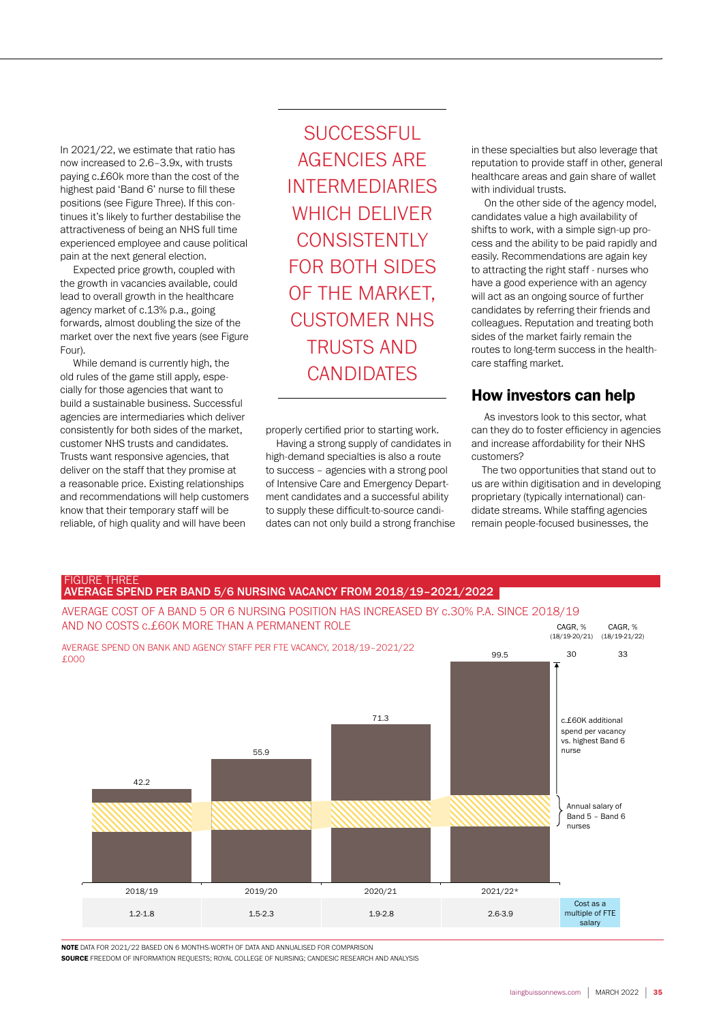In 2021/22, we estimate that ratio has now increased to 2.6-3.9x, with trusts paying c.£60k more than the cost of the highest paid 'Band 6' nurse to fill these positions (see Figure Three). If this continues it's likely to further destabilise the attractiveness of being an NHS full time experienced employee and cause political pain at the next general election.

 Expected price growth, coupled with the growth in vacancies available, could lead to overall growth in the healthcare agency market of c.13% p.a., going forwards, almost doubling the size of the market over the next five years (see Figure Four).

 While demand is currently high, the old rules of the game still apply, especially for those agencies that want to build a sustainable business. Successful agencies are intermediaries which deliver consistently for both sides of the market, customer NHS trusts and candidates. Trusts want responsive agencies, that deliver on the staff that they promise at a reasonable price. Existing relationships and recommendations will help customers know that their temporary staff will be reliable, of high quality and will have been

**SUCCESSFUL** AGENCIES ARE INTERMEDIARIES WHICH DELIVER **CONSISTENTLY** FOR BOTH SIDES OF THE MARKET, CUSTOMER NHS TRUSTS AND CANDIDATES

properly certified prior to starting work. Having a strong supply of candidates in

high-demand specialties is also a route to success – agencies with a strong pool of Intensive Care and Emergency Department candidates and a successful ability to supply these difficult-to-source candidates can not only build a strong franchise in these specialties but also leverage that reputation to provide staff in other, general healthcare areas and gain share of wallet with individual trusts.

 On the other side of the agency model, candidates value a high availability of shifts to work, with a simple sign-up process and the ability to be paid rapidly and easily. Recommendations are again key to attracting the right staff - nurses who have a good experience with an agency will act as an ongoing source of further candidates by referring their friends and colleagues. Reputation and treating both sides of the market fairly remain the routes to long-term success in the healthcare staffing market.

# How investors can help

 As investors look to this sector, what can they do to foster efficiency in agencies and increase affordability for their NHS customers?

The two opportunities that stand out to us are within digitisation and in developing proprietary (typically international) candidate streams. While staffing agencies remain people-focused businesses, the



NOTE DATA FOR 2021/22 BASED ON 6 MONTHS-WORTH OF DATA AND ANNUALISED FOR COMPARISON

SOURCE FREEDOM OF INFORMATION REQUESTS; ROYAL COLLEGE OF NURSING; CANDESIC RESEARCH AND ANALYSIS